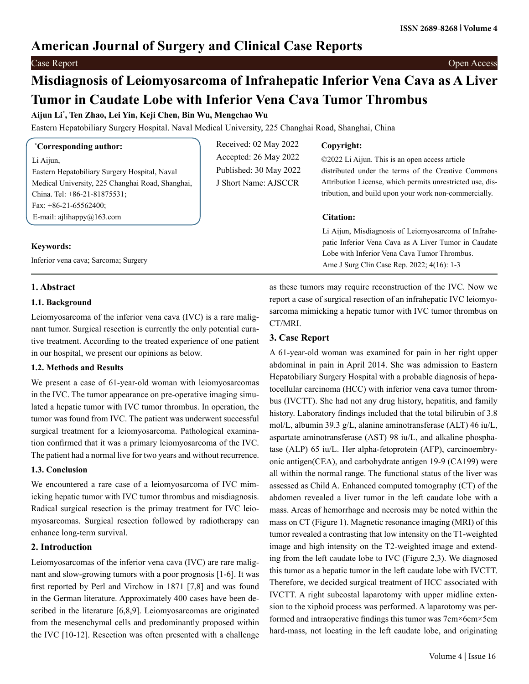## **American Journal of Surgery and Clinical Case Reports**

# **Misdiagnosis of Leiomyosarcoma of Infrahepatic Inferior Vena Cava as A Liver Tumor in Caudate Lobe with Inferior Vena Cava Tumor Thrombus**

### **Aijun Li\* , Ten Zhao, Lei Yin, Keji Chen, Bin Wu, Mengchao Wu**

Eastern Hepatobiliary Surgery Hospital. Naval Medical University, 225 Changhai Road, Shanghai, China

| <i>Corresponding author:</i>                     | Received: 02 May 2022  | Copyright:                                                |
|--------------------------------------------------|------------------------|-----------------------------------------------------------|
| Li Aijun,                                        | Accepted: 26 May 2022  | ©2022 Li Aijun. This is an open access article            |
| Eastern Hepatobiliary Surgery Hospital, Naval    | Published: 30 May 2022 | distributed under the terms of the Creative Commons       |
| Medical University, 225 Changhai Road, Shanghai, | J Short Name: AJSCCR   | Attribution License, which permits unrestricted use, dis- |
| China. Tel: $+86-21-81875531$ ;                  |                        | tribution, and build upon your work non-commercially.     |
| Fax: $+86-21-65562400$ ;                         |                        |                                                           |
| E-mail: ajlihappy $@163$ .com                    |                        | Citation:                                                 |
|                                                  |                        | Li Aijun, Misdiagnosis of Leiomyosarcoma of Infrahe-      |
| <b>Keywords:</b>                                 |                        | patic Inferior Vena Cava as A Liver Tumor in Caudate      |
|                                                  |                        | Lobe with Inferior Vena Cava Tumor Thrombus               |

Inferior vena cava; Sarcoma; Surgery

#### **1. Abstract**

#### **1.1. Background**

Leiomyosarcoma of the inferior vena cava (IVC) is a rare malignant tumor. Surgical resection is currently the only potential curative treatment. According to the treated experience of one patient in our hospital, we present our opinions as below.

#### **1.2. Methods and Results**

We present a case of 61-year-old woman with leiomyosarcomas in the IVC. The tumor appearance on pre-operative imaging simulated a hepatic tumor with IVC tumor thrombus. In operation, the tumor was found from IVC. The patient was underwent successful surgical treatment for a leiomyosarcoma. Pathological examination confirmed that it was a primary leiomyosarcoma of the IVC. The patient had a normal live for two years and without recurrence.

#### **1.3. Conclusion**

We encountered a rare case of a leiomyosarcoma of IVC mimicking hepatic tumor with IVC tumor thrombus and misdiagnosis. Radical surgical resection is the primay treatment for IVC leiomyosarcomas. Surgical resection followed by radiotherapy can enhance long-term survival.

#### **2. Introduction**

Leiomyosarcomas of the inferior vena cava (IVC) are rare malignant and slow-growing tumors with a poor prognosis [1-6]. It was first reported by Perl and Virchow in 1871 [7,8] and was found in the German literature. Approximately 400 cases have been described in the literature [6,8,9]. Leiomyosarcomas are originated from the mesenchymal cells and predominantly proposed within the IVC [10-12]. Resection was often presented with a challenge

as these tumors may require reconstruction of the IVC. Now we report a case of surgical resection of an infrahepatic IVC leiomyosarcoma mimicking a hepatic tumor with IVC tumor thrombus on CT/MRI.

Ame J Surg Clin Case Rep. 2022; 4(16): 1-3

#### **3. Case Report**

A 61-year-old woman was examined for pain in her right upper abdominal in pain in April 2014. She was admission to Eastern Hepatobiliary Surgery Hospital with a probable diagnosis of hepatocellular carcinoma (HCC) with inferior vena cava tumor thrombus (IVCTT). She had not any drug history, hepatitis, and family history. Laboratory findings included that the total bilirubin of 3.8 mol/L, albumin 39.3 g/L, alanine aminotransferase (ALT) 46 iu/L, aspartate aminotransferase (AST) 98 iu/L, and alkaline phosphatase (ALP) 65 iu/L. Her alpha-fetoprotein (AFP), carcinoembryonic antigen(CEA), and carbohydrate antigen 19-9 (CA199) were all within the normal range. The functional status of the liver was assessed as Child A. Enhanced computed tomography (CT) of the abdomen revealed a liver tumor in the left caudate lobe with a mass. Areas of hemorrhage and necrosis may be noted within the mass on CT (Figure 1). Magnetic resonance imaging (MRI) of this tumor revealed a contrasting that low intensity on the T1-weighted image and high intensity on the T2-weighted image and extending from the left caudate lobe to IVC (Figure 2,3). We diagnosed this tumor as a hepatic tumor in the left caudate lobe with IVCTT. Therefore, we decided surgical treatment of HCC associated with IVCTT. A right subcostal laparotomy with upper midline extension to the xiphoid process was performed. A laparotomy was performed and intraoperative findings this tumor was 7cm×6cm×5cm hard-mass, not locating in the left caudate lobe, and originating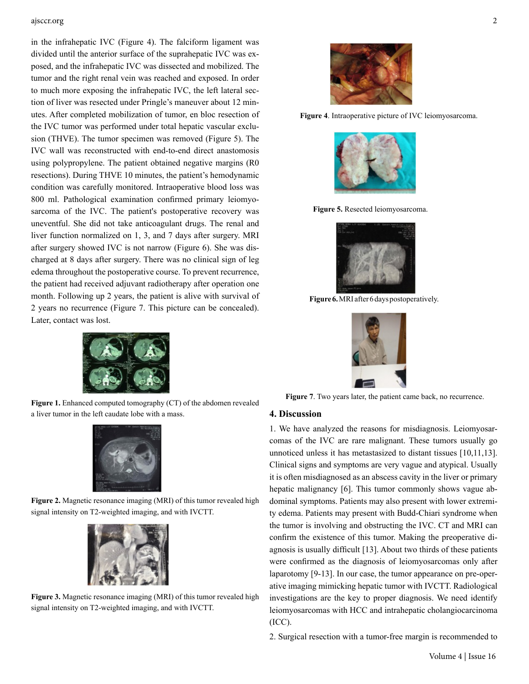#### ajsccr.org 2

in the infrahepatic IVC (Figure 4). The falciform ligament was divided until the anterior surface of the suprahepatic IVC was exposed, and the infrahepatic IVC was dissected and mobilized. The tumor and the right renal vein was reached and exposed. In order to much more exposing the infrahepatic IVC, the left lateral section of liver was resected under Pringle's maneuver about 12 minutes. After completed mobilization of tumor, en bloc resection of the IVC tumor was performed under total hepatic vascular exclusion (THVE). The tumor specimen was removed (Figure 5). The IVC wall was reconstructed with end-to-end direct anastomosis using polypropylene. The patient obtained negative margins (R0 resections). During THVE 10 minutes, the patient's hemodynamic condition was carefully monitored. Intraoperative blood loss was 800 ml. Pathological examination confirmed primary leiomyosarcoma of the IVC. The patient's postoperative recovery was uneventful. She did not take anticoagulant drugs. The renal and liver function normalized on 1, 3, and 7 days after surgery. MRI after surgery showed IVC is not narrow (Figure 6). She was discharged at 8 days after surgery. There was no clinical sign of leg edema throughout the postoperative course. To prevent recurrence, the patient had received adjuvant radiotherapy after operation one month. Following up 2 years, the patient is alive with survival of 2 years no recurrence (Figure 7. This picture can be concealed). Later, contact was lost.



**[Figure 1.](http://www.ncbi.nlm.nih.gov/pmc/articles/PMC3590509/figure/fig1/)** Enhanced computed tomography (CT) of the abdomen revealed a liver tumor in the left caudate lobe with a mass.



**[Figure 2.](http://www.ncbi.nlm.nih.gov/pmc/articles/PMC3590509/figure/fig2/)** Magnetic resonance imaging (MRI) of this tumor revealed high signal intensity on T2-weighted imaging, and with IVCTT.



**[Figure](http://www.ncbi.nlm.nih.gov/pmc/articles/PMC3590509/figure/fig2/) 3.** Magnetic resonance imaging (MRI) of this tumor revealed high signal intensity on T2-weighted imaging, and with IVCTT.



**Figure 4**. Intraoperative picture of IVC leiomyosarcoma.



**Figure 5.** Resected leiomyosarcoma.



**Figure 6.** MRI after 6 days postoperatively.



**Figure 7**. Two years later, the patient came back, no recurrence.

#### **4. Discussion**

1. We have analyzed the reasons for misdiagnosis. Leiomyosarcomas of the IVC are rare malignant. These tumors usually go unnoticed unless it has metastasized to distant tissues [10,11,13]. Clinical signs and symptoms are very vague and atypical. Usually it is often misdiagnosed as an abscess cavity in the liver or primary hepatic malignancy [6]. This tumor commonly shows vague abdominal symptoms. Patients may also present with lower extremity edema. Patients may present with Budd-Chiari syndrome when the tumor is involving and obstructing the IVC. CT and MRI can confirm the existence of this tumor. Making the preoperative diagnosis is usually difficult [13]. About two thirds of these patients were confirmed as the diagnosis of leiomyosarcomas only after laparotomy [9-13]. In our case, the tumor appearance on pre-operative imaging mimicking hepatic tumor with IVCTT. Radiological investigations are the key to proper diagnosis. We need identify leiomyosarcomas with HCC and intrahepatic cholangiocarcinoma (ICC).

2. Surgical resection with a tumor-free margin is recommended to